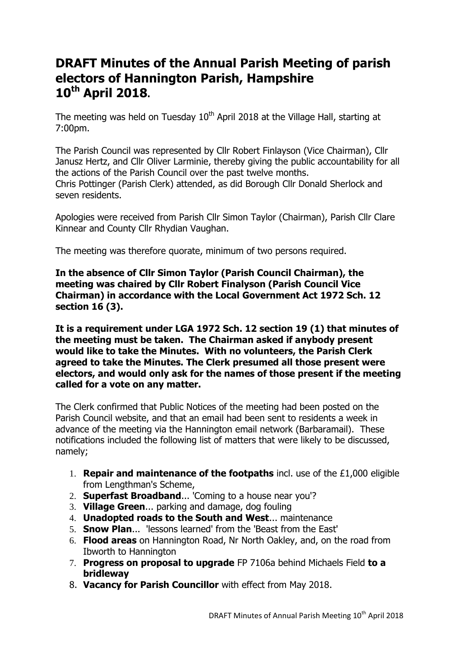# **DRAFT Minutes of the Annual Parish Meeting of parish electors of Hannington Parish, Hampshire 10th April 2018.**

The meeting was held on Tuesday  $10<sup>th</sup>$  April 2018 at the Village Hall, starting at 7:00pm.

The Parish Council was represented by Cllr Robert Finlayson (Vice Chairman), Cllr Janusz Hertz, and Cllr Oliver Larminie, thereby giving the public accountability for all the actions of the Parish Council over the past twelve months. Chris Pottinger (Parish Clerk) attended, as did Borough Cllr Donald Sherlock and seven residents.

Apologies were received from Parish Cllr Simon Taylor (Chairman), Parish Cllr Clare Kinnear and County Cllr Rhydian Vaughan.

The meeting was therefore quorate, minimum of two persons required.

**In the absence of Cllr Simon Taylor (Parish Council Chairman), the meeting was chaired by Cllr Robert Finalyson (Parish Council Vice Chairman) in accordance with the Local Government Act 1972 Sch. 12 section 16 (3).**

**It is a requirement under LGA 1972 Sch. 12 section 19 (1) that minutes of the meeting must be taken. The Chairman asked if anybody present would like to take the Minutes. With no volunteers, the Parish Clerk agreed to take the Minutes. The Clerk presumed all those present were electors, and would only ask for the names of those present if the meeting called for a vote on any matter.**

The Clerk confirmed that Public Notices of the meeting had been posted on the Parish Council website, and that an email had been sent to residents a week in advance of the meeting via the Hannington email network (Barbaramail). These notifications included the following list of matters that were likely to be discussed, namely;

- 1. **Repair and maintenance of the footpaths** incl. use of the £1,000 eligible from Lengthman's Scheme,
- 2. **Superfast Broadband**... 'Coming to a house near you'?
- 3. **Village Green**... parking and damage, dog fouling
- 4. **Unadopted roads to the South and West**... maintenance
- 5. **Snow Plan**... 'lessons learned' from the 'Beast from the East'
- 6. **Flood areas** on Hannington Road, Nr North Oakley, and, on the road from Ibworth to Hannington
- 7. **Progress on proposal to upgrade** FP 7106a behind Michaels Field **to a bridleway**
- 8. **Vacancy for Parish Councillor** with effect from May 2018.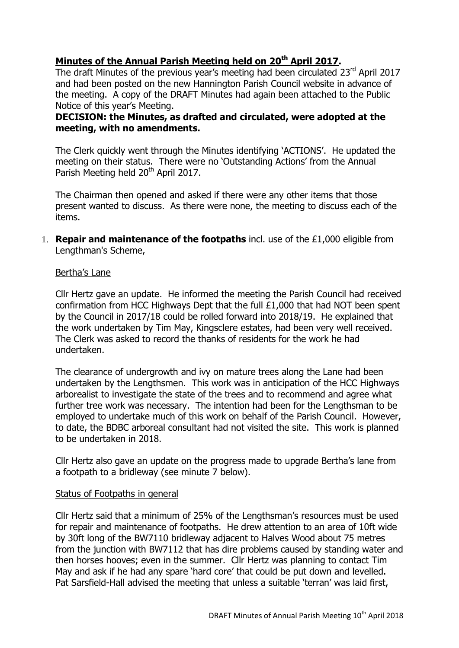# **Minutes of the Annual Parish Meeting held on 20 th April 2017.**

The draft Minutes of the previous year's meeting had been circulated  $23<sup>rd</sup>$  April 2017 and had been posted on the new Hannington Parish Council website in advance of the meeting. A copy of the DRAFT Minutes had again been attached to the Public Notice of this year's Meeting.

# **DECISION: the Minutes, as drafted and circulated, were adopted at the meeting, with no amendments.**

The Clerk quickly went through the Minutes identifying 'ACTIONS'. He updated the meeting on their status. There were no 'Outstanding Actions' from the Annual Parish Meeting held 20<sup>th</sup> April 2017.

The Chairman then opened and asked if there were any other items that those present wanted to discuss. As there were none, the meeting to discuss each of the items.

1. **Repair and maintenance of the footpaths** incl. use of the £1,000 eligible from Lengthman's Scheme,

# Bertha's Lane

Cllr Hertz gave an update. He informed the meeting the Parish Council had received confirmation from HCC Highways Dept that the full £1,000 that had NOT been spent by the Council in 2017/18 could be rolled forward into 2018/19. He explained that the work undertaken by Tim May, Kingsclere estates, had been very well received. The Clerk was asked to record the thanks of residents for the work he had undertaken.

The clearance of undergrowth and ivy on mature trees along the Lane had been undertaken by the Lengthsmen. This work was in anticipation of the HCC Highways arborealist to investigate the state of the trees and to recommend and agree what further tree work was necessary. The intention had been for the Lengthsman to be employed to undertake much of this work on behalf of the Parish Council. However, to date, the BDBC arboreal consultant had not visited the site. This work is planned to be undertaken in 2018.

Cllr Hertz also gave an update on the progress made to upgrade Bertha's lane from a footpath to a bridleway (see minute 7 below).

# Status of Footpaths in general

Cllr Hertz said that a minimum of 25% of the Lengthsman's resources must be used for repair and maintenance of footpaths. He drew attention to an area of 10ft wide by 30ft long of the BW7110 bridleway adjacent to Halves Wood about 75 metres from the junction with BW7112 that has dire problems caused by standing water and then horses hooves; even in the summer. Cllr Hertz was planning to contact Tim May and ask if he had any spare 'hard core' that could be put down and levelled. Pat Sarsfield-Hall advised the meeting that unless a suitable 'terran' was laid first,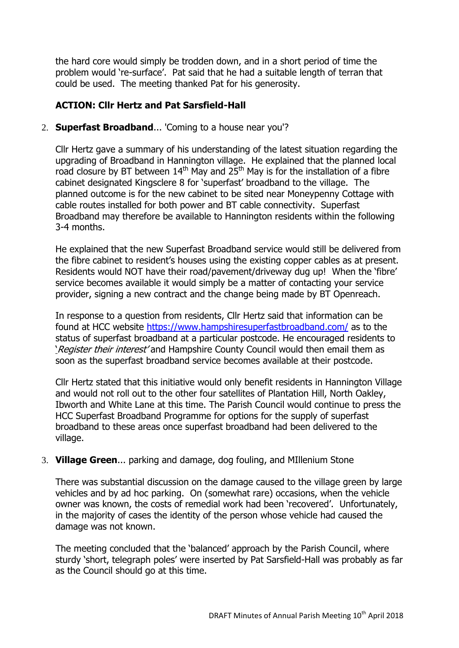the hard core would simply be trodden down, and in a short period of time the problem would 're-surface'. Pat said that he had a suitable length of terran that could be used. The meeting thanked Pat for his generosity.

# **ACTION: Cllr Hertz and Pat Sarsfield-Hall**

2. **Superfast Broadband**... 'Coming to a house near you'?

Cllr Hertz gave a summary of his understanding of the latest situation regarding the upgrading of Broadband in Hannington village. He explained that the planned local road closure by BT between  $14<sup>th</sup>$  May and  $25<sup>th</sup>$  May is for the installation of a fibre cabinet designated Kingsclere 8 for 'superfast' broadband to the village. The planned outcome is for the new cabinet to be sited near Moneypenny Cottage with cable routes installed for both power and BT cable connectivity. Superfast Broadband may therefore be available to Hannington residents within the following 3-4 months.

He explained that the new Superfast Broadband service would still be delivered from the fibre cabinet to resident's houses using the existing copper cables as at present. Residents would NOT have their road/pavement/driveway dug up! When the 'fibre' service becomes available it would simply be a matter of contacting your service provider, signing a new contract and the change being made by BT Openreach.

In response to a question from residents, Cllr Hertz said that information can be found at HCC website <https://www.hampshiresuperfastbroadband.com/> as to the status of superfast broadband at a particular postcode. He encouraged residents to 'Register their interest' and Hampshire County Council would then email them as soon as the superfast broadband service becomes available at their postcode.

Cllr Hertz stated that this initiative would only benefit residents in Hannington Village and would not roll out to the other four satellites of Plantation Hill, North Oakley, Ibworth and White Lane at this time. The Parish Council would continue to press the HCC Superfast Broadband Programme for options for the supply of superfast broadband to these areas once superfast broadband had been delivered to the village.

# 3. **Village Green**... parking and damage, dog fouling, and MIllenium Stone

There was substantial discussion on the damage caused to the village green by large vehicles and by ad hoc parking. On (somewhat rare) occasions, when the vehicle owner was known, the costs of remedial work had been 'recovered'. Unfortunately, in the majority of cases the identity of the person whose vehicle had caused the damage was not known.

The meeting concluded that the 'balanced' approach by the Parish Council, where sturdy 'short, telegraph poles' were inserted by Pat Sarsfield-Hall was probably as far as the Council should go at this time.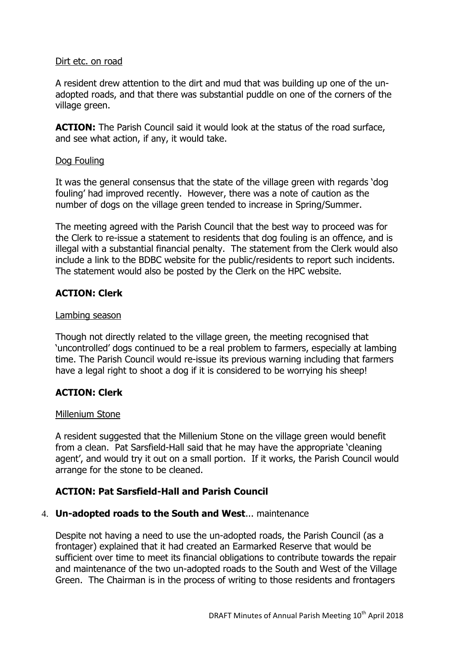#### Dirt etc. on road

A resident drew attention to the dirt and mud that was building up one of the unadopted roads, and that there was substantial puddle on one of the corners of the village green.

**ACTION:** The Parish Council said it would look at the status of the road surface, and see what action, if any, it would take.

# Dog Fouling

It was the general consensus that the state of the village green with regards 'dog fouling' had improved recently. However, there was a note of caution as the number of dogs on the village green tended to increase in Spring/Summer.

The meeting agreed with the Parish Council that the best way to proceed was for the Clerk to re-issue a statement to residents that dog fouling is an offence, and is illegal with a substantial financial penalty. The statement from the Clerk would also include a link to the BDBC website for the public/residents to report such incidents. The statement would also be posted by the Clerk on the HPC website.

# **ACTION: Clerk**

#### Lambing season

Though not directly related to the village green, the meeting recognised that 'uncontrolled' dogs continued to be a real problem to farmers, especially at lambing time. The Parish Council would re-issue its previous warning including that farmers have a legal right to shoot a dog if it is considered to be worrying his sheep!

# **ACTION: Clerk**

#### Millenium Stone

A resident suggested that the Millenium Stone on the village green would benefit from a clean. Pat Sarsfield-Hall said that he may have the appropriate 'cleaning agent', and would try it out on a small portion. If it works, the Parish Council would arrange for the stone to be cleaned.

# **ACTION: Pat Sarsfield-Hall and Parish Council**

# 4. **Un-adopted roads to the South and West**... maintenance

Despite not having a need to use the un-adopted roads, the Parish Council (as a frontager) explained that it had created an Earmarked Reserve that would be sufficient over time to meet its financial obligations to contribute towards the repair and maintenance of the two un-adopted roads to the South and West of the Village Green. The Chairman is in the process of writing to those residents and frontagers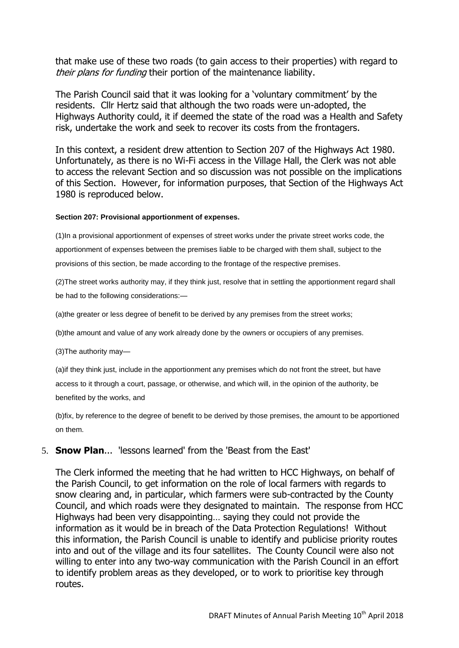that make use of these two roads (to gain access to their properties) with regard to their plans for funding their portion of the maintenance liability.

The Parish Council said that it was looking for a 'voluntary commitment' by the residents. Cllr Hertz said that although the two roads were un-adopted, the Highways Authority could, it if deemed the state of the road was a Health and Safety risk, undertake the work and seek to recover its costs from the frontagers.

In this context, a resident drew attention to Section 207 of the Highways Act 1980. Unfortunately, as there is no Wi-Fi access in the Village Hall, the Clerk was not able to access the relevant Section and so discussion was not possible on the implications of this Section. However, for information purposes, that Section of the Highways Act 1980 is reproduced below.

#### **Section 207: Provisional apportionment of expenses.**

(1)In a provisional apportionment of expenses of street works under the private street works code, the apportionment of expenses between the premises liable to be charged with them shall, subject to the provisions of this section, be made according to the frontage of the respective premises.

(2)The street works authority may, if they think just, resolve that in settling the apportionment regard shall be had to the following considerations:—

(a)the greater or less degree of benefit to be derived by any premises from the street works;

(b)the amount and value of any work already done by the owners or occupiers of any premises.

(3)The authority may—

(a)if they think just, include in the apportionment any premises which do not front the street, but have access to it through a court, passage, or otherwise, and which will, in the opinion of the authority, be benefited by the works, and

(b)fix, by reference to the degree of benefit to be derived by those premises, the amount to be apportioned on them.

# 5. **Snow Plan**... 'lessons learned' from the 'Beast from the East'

The Clerk informed the meeting that he had written to HCC Highways, on behalf of the Parish Council, to get information on the role of local farmers with regards to snow clearing and, in particular, which farmers were sub-contracted by the County Council, and which roads were they designated to maintain. The response from HCC Highways had been very disappointing… saying they could not provide the information as it would be in breach of the Data Protection Regulations! Without this information, the Parish Council is unable to identify and publicise priority routes into and out of the village and its four satellites. The County Council were also not willing to enter into any two-way communication with the Parish Council in an effort to identify problem areas as they developed, or to work to prioritise key through routes.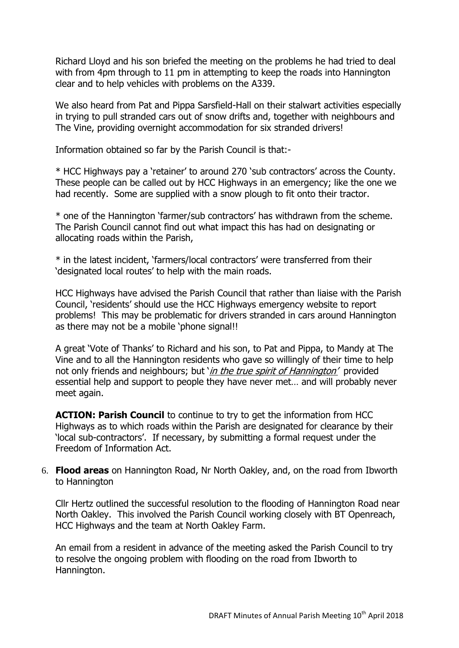Richard Lloyd and his son briefed the meeting on the problems he had tried to deal with from 4pm through to 11 pm in attempting to keep the roads into Hannington clear and to help vehicles with problems on the A339.

We also heard from Pat and Pippa Sarsfield-Hall on their stalwart activities especially in trying to pull stranded cars out of snow drifts and, together with neighbours and The Vine, providing overnight accommodation for six stranded drivers!

Information obtained so far by the Parish Council is that:-

\* HCC Highways pay a 'retainer' to around 270 'sub contractors' across the County. These people can be called out by HCC Highways in an emergency; like the one we had recently. Some are supplied with a snow plough to fit onto their tractor.

\* one of the Hannington 'farmer/sub contractors' has withdrawn from the scheme. The Parish Council cannot find out what impact this has had on designating or allocating roads within the Parish,

\* in the latest incident, 'farmers/local contractors' were transferred from their 'designated local routes' to help with the main roads.

HCC Highways have advised the Parish Council that rather than liaise with the Parish Council, 'residents' should use the HCC Highways emergency website to report problems! This may be problematic for drivers stranded in cars around Hannington as there may not be a mobile 'phone signal!!

A great 'Vote of Thanks' to Richard and his son, to Pat and Pippa, to Mandy at The Vine and to all the Hannington residents who gave so willingly of their time to help not only friends and neighbours; but 'in the true spirit of Hannington' provided essential help and support to people they have never met… and will probably never meet again.

**ACTION: Parish Council** to continue to try to get the information from HCC Highways as to which roads within the Parish are designated for clearance by their 'local sub-contractors'. If necessary, by submitting a formal request under the Freedom of Information Act.

6. **Flood areas** on Hannington Road, Nr North Oakley, and, on the road from Ibworth to Hannington

Cllr Hertz outlined the successful resolution to the flooding of Hannington Road near North Oakley. This involved the Parish Council working closely with BT Openreach, HCC Highways and the team at North Oakley Farm.

An email from a resident in advance of the meeting asked the Parish Council to try to resolve the ongoing problem with flooding on the road from Ibworth to Hannington.